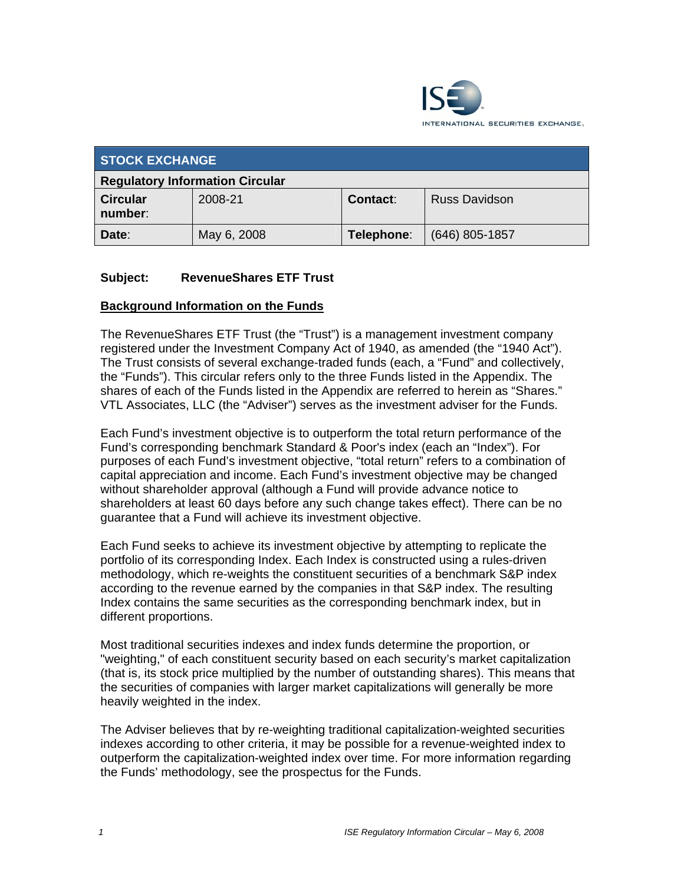

| <b>STOCK EXCHANGE</b>                  |             |            |                      |  |
|----------------------------------------|-------------|------------|----------------------|--|
| <b>Regulatory Information Circular</b> |             |            |                      |  |
| <b>Circular</b><br>number:             | 2008-21     | Contact:   | <b>Russ Davidson</b> |  |
| Date:                                  | May 6, 2008 | Telephone: | $(646)$ 805-1857     |  |

### **Subject: RevenueShares ETF Trust**

### **Background Information on the Funds**

The RevenueShares ETF Trust (the "Trust") is a management investment company registered under the Investment Company Act of 1940, as amended (the "1940 Act"). The Trust consists of several exchange-traded funds (each, a "Fund" and collectively, the "Funds"). This circular refers only to the three Funds listed in the Appendix. The shares of each of the Funds listed in the Appendix are referred to herein as "Shares." VTL Associates, LLC (the "Adviser") serves as the investment adviser for the Funds.

Each Fund's investment objective is to outperform the total return performance of the Fund's corresponding benchmark Standard & Poor's index (each an "Index"). For purposes of each Fund's investment objective, "total return" refers to a combination of capital appreciation and income. Each Fund's investment objective may be changed without shareholder approval (although a Fund will provide advance notice to shareholders at least 60 days before any such change takes effect). There can be no guarantee that a Fund will achieve its investment objective.

Each Fund seeks to achieve its investment objective by attempting to replicate the portfolio of its corresponding Index. Each Index is constructed using a rules-driven methodology, which re-weights the constituent securities of a benchmark S&P index according to the revenue earned by the companies in that S&P index. The resulting Index contains the same securities as the corresponding benchmark index, but in different proportions.

Most traditional securities indexes and index funds determine the proportion, or "weighting," of each constituent security based on each security's market capitalization (that is, its stock price multiplied by the number of outstanding shares). This means that the securities of companies with larger market capitalizations will generally be more heavily weighted in the index.

The Adviser believes that by re-weighting traditional capitalization-weighted securities indexes according to other criteria, it may be possible for a revenue-weighted index to outperform the capitalization-weighted index over time. For more information regarding the Funds' methodology, see the prospectus for the Funds.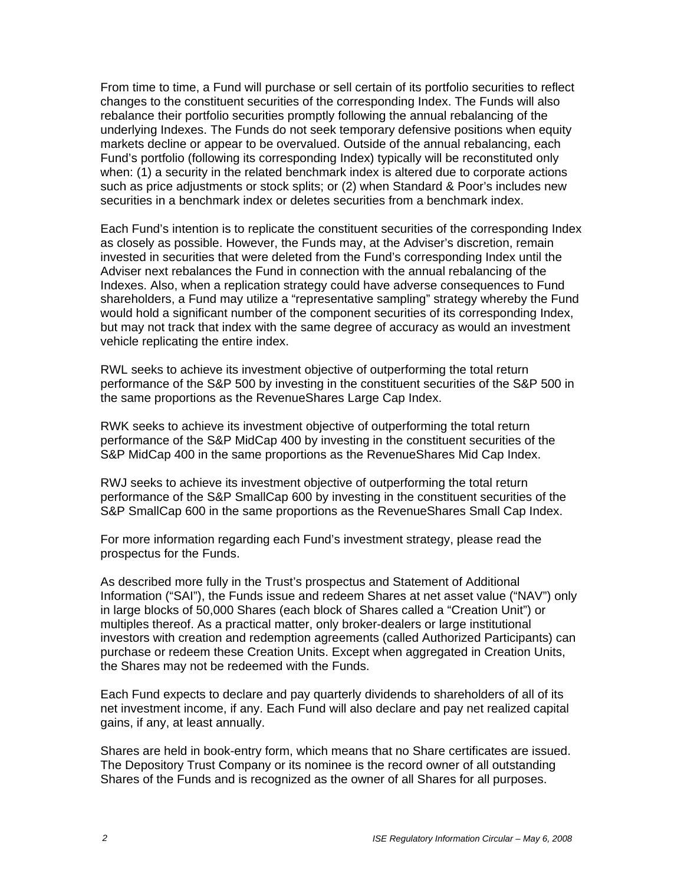From time to time, a Fund will purchase or sell certain of its portfolio securities to reflect changes to the constituent securities of the corresponding Index. The Funds will also rebalance their portfolio securities promptly following the annual rebalancing of the underlying Indexes. The Funds do not seek temporary defensive positions when equity markets decline or appear to be overvalued. Outside of the annual rebalancing, each Fund's portfolio (following its corresponding Index) typically will be reconstituted only when: (1) a security in the related benchmark index is altered due to corporate actions such as price adjustments or stock splits; or (2) when Standard & Poor's includes new securities in a benchmark index or deletes securities from a benchmark index.

Each Fund's intention is to replicate the constituent securities of the corresponding Index as closely as possible. However, the Funds may, at the Adviser's discretion, remain invested in securities that were deleted from the Fund's corresponding Index until the Adviser next rebalances the Fund in connection with the annual rebalancing of the Indexes. Also, when a replication strategy could have adverse consequences to Fund shareholders, a Fund may utilize a "representative sampling" strategy whereby the Fund would hold a significant number of the component securities of its corresponding Index, but may not track that index with the same degree of accuracy as would an investment vehicle replicating the entire index.

RWL seeks to achieve its investment objective of outperforming the total return performance of the S&P 500 by investing in the constituent securities of the S&P 500 in the same proportions as the RevenueShares Large Cap Index.

RWK seeks to achieve its investment objective of outperforming the total return performance of the S&P MidCap 400 by investing in the constituent securities of the S&P MidCap 400 in the same proportions as the RevenueShares Mid Cap Index.

RWJ seeks to achieve its investment objective of outperforming the total return performance of the S&P SmallCap 600 by investing in the constituent securities of the S&P SmallCap 600 in the same proportions as the RevenueShares Small Cap Index.

For more information regarding each Fund's investment strategy, please read the prospectus for the Funds.

As described more fully in the Trust's prospectus and Statement of Additional Information ("SAI"), the Funds issue and redeem Shares at net asset value ("NAV") only in large blocks of 50,000 Shares (each block of Shares called a "Creation Unit") or multiples thereof. As a practical matter, only broker-dealers or large institutional investors with creation and redemption agreements (called Authorized Participants) can purchase or redeem these Creation Units. Except when aggregated in Creation Units, the Shares may not be redeemed with the Funds.

Each Fund expects to declare and pay quarterly dividends to shareholders of all of its net investment income, if any. Each Fund will also declare and pay net realized capital gains, if any, at least annually.

Shares are held in book-entry form, which means that no Share certificates are issued. The Depository Trust Company or its nominee is the record owner of all outstanding Shares of the Funds and is recognized as the owner of all Shares for all purposes.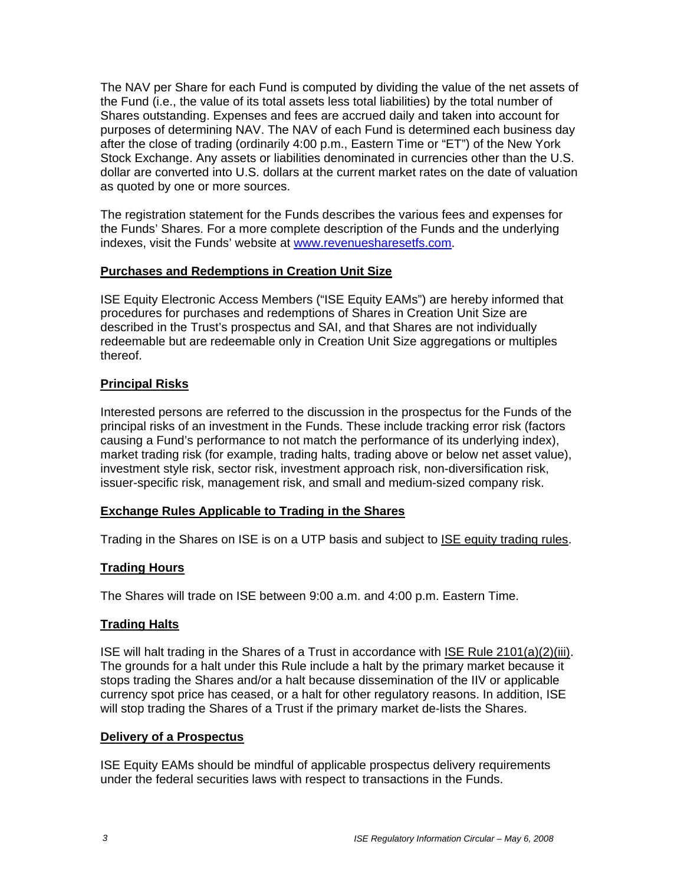The NAV per Share for each Fund is computed by dividing the value of the net assets of the Fund (i.e., the value of its total assets less total liabilities) by the total number of Shares outstanding. Expenses and fees are accrued daily and taken into account for purposes of determining NAV. The NAV of each Fund is determined each business day after the close of trading (ordinarily 4:00 p.m., Eastern Time or "ET") of the New York Stock Exchange. Any assets or liabilities denominated in currencies other than the U.S. dollar are converted into U.S. dollars at the current market rates on the date of valuation as quoted by one or more sources.

The registration statement for the Funds describes the various fees and expenses for the Funds' Shares. For a more complete description of the Funds and the underlying indexes, visit the Funds' website at www.revenuesharesetfs.com.

### **Purchases and Redemptions in Creation Unit Size**

ISE Equity Electronic Access Members ("ISE Equity EAMs") are hereby informed that procedures for purchases and redemptions of Shares in Creation Unit Size are described in the Trust's prospectus and SAI, and that Shares are not individually redeemable but are redeemable only in Creation Unit Size aggregations or multiples thereof.

## **Principal Risks**

Interested persons are referred to the discussion in the prospectus for the Funds of the principal risks of an investment in the Funds. These include tracking error risk (factors causing a Fund's performance to not match the performance of its underlying index), market trading risk (for example, trading halts, trading above or below net asset value), investment style risk, sector risk, investment approach risk, non-diversification risk, issuer-specific risk, management risk, and small and medium-sized company risk.

### **Exchange Rules Applicable to Trading in the Shares**

Trading in the Shares on ISE is on a UTP basis and subject to ISE equity trading rules.

# **Trading Hours**

The Shares will trade on ISE between 9:00 a.m. and 4:00 p.m. Eastern Time.

### **Trading Halts**

ISE will halt trading in the Shares of a Trust in accordance with ISE Rule 2101(a)(2)(iii). The grounds for a halt under this Rule include a halt by the primary market because it stops trading the Shares and/or a halt because dissemination of the IIV or applicable currency spot price has ceased, or a halt for other regulatory reasons. In addition, ISE will stop trading the Shares of a Trust if the primary market de-lists the Shares.

### **Delivery of a Prospectus**

ISE Equity EAMs should be mindful of applicable prospectus delivery requirements under the federal securities laws with respect to transactions in the Funds.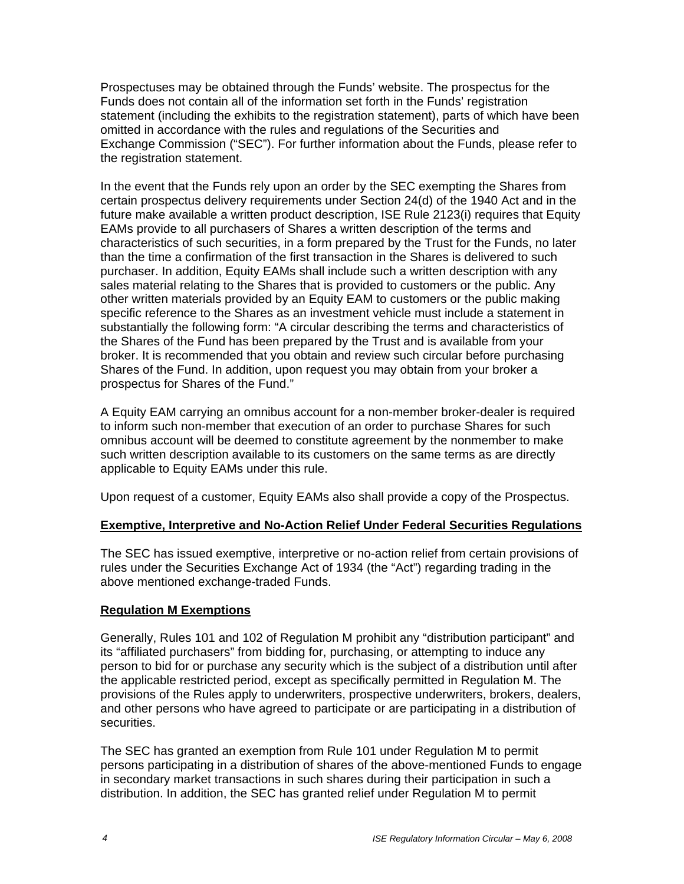Prospectuses may be obtained through the Funds' website. The prospectus for the Funds does not contain all of the information set forth in the Funds' registration statement (including the exhibits to the registration statement), parts of which have been omitted in accordance with the rules and regulations of the Securities and Exchange Commission ("SEC"). For further information about the Funds, please refer to the registration statement.

In the event that the Funds rely upon an order by the SEC exempting the Shares from certain prospectus delivery requirements under Section 24(d) of the 1940 Act and in the future make available a written product description, ISE Rule 2123(i) requires that Equity EAMs provide to all purchasers of Shares a written description of the terms and characteristics of such securities, in a form prepared by the Trust for the Funds, no later than the time a confirmation of the first transaction in the Shares is delivered to such purchaser. In addition, Equity EAMs shall include such a written description with any sales material relating to the Shares that is provided to customers or the public. Any other written materials provided by an Equity EAM to customers or the public making specific reference to the Shares as an investment vehicle must include a statement in substantially the following form: "A circular describing the terms and characteristics of the Shares of the Fund has been prepared by the Trust and is available from your broker. It is recommended that you obtain and review such circular before purchasing Shares of the Fund. In addition, upon request you may obtain from your broker a prospectus for Shares of the Fund."

A Equity EAM carrying an omnibus account for a non-member broker-dealer is required to inform such non-member that execution of an order to purchase Shares for such omnibus account will be deemed to constitute agreement by the nonmember to make such written description available to its customers on the same terms as are directly applicable to Equity EAMs under this rule.

Upon request of a customer, Equity EAMs also shall provide a copy of the Prospectus.

# **Exemptive, Interpretive and No-Action Relief Under Federal Securities Regulations**

The SEC has issued exemptive, interpretive or no-action relief from certain provisions of rules under the Securities Exchange Act of 1934 (the "Act") regarding trading in the above mentioned exchange-traded Funds.

# **Regulation M Exemptions**

Generally, Rules 101 and 102 of Regulation M prohibit any "distribution participant" and its "affiliated purchasers" from bidding for, purchasing, or attempting to induce any person to bid for or purchase any security which is the subject of a distribution until after the applicable restricted period, except as specifically permitted in Regulation M. The provisions of the Rules apply to underwriters, prospective underwriters, brokers, dealers, and other persons who have agreed to participate or are participating in a distribution of securities.

The SEC has granted an exemption from Rule 101 under Regulation M to permit persons participating in a distribution of shares of the above-mentioned Funds to engage in secondary market transactions in such shares during their participation in such a distribution. In addition, the SEC has granted relief under Regulation M to permit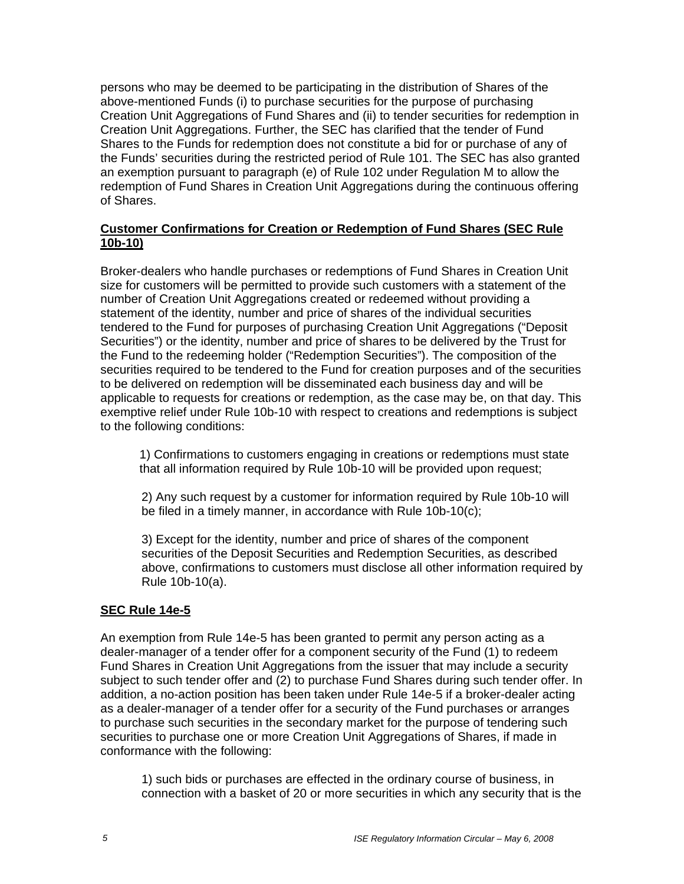persons who may be deemed to be participating in the distribution of Shares of the above-mentioned Funds (i) to purchase securities for the purpose of purchasing Creation Unit Aggregations of Fund Shares and (ii) to tender securities for redemption in Creation Unit Aggregations. Further, the SEC has clarified that the tender of Fund Shares to the Funds for redemption does not constitute a bid for or purchase of any of the Funds' securities during the restricted period of Rule 101. The SEC has also granted an exemption pursuant to paragraph (e) of Rule 102 under Regulation M to allow the redemption of Fund Shares in Creation Unit Aggregations during the continuous offering of Shares.

### **Customer Confirmations for Creation or Redemption of Fund Shares (SEC Rule 10b-10)**

Broker-dealers who handle purchases or redemptions of Fund Shares in Creation Unit size for customers will be permitted to provide such customers with a statement of the number of Creation Unit Aggregations created or redeemed without providing a statement of the identity, number and price of shares of the individual securities tendered to the Fund for purposes of purchasing Creation Unit Aggregations ("Deposit Securities") or the identity, number and price of shares to be delivered by the Trust for the Fund to the redeeming holder ("Redemption Securities"). The composition of the securities required to be tendered to the Fund for creation purposes and of the securities to be delivered on redemption will be disseminated each business day and will be applicable to requests for creations or redemption, as the case may be, on that day. This exemptive relief under Rule 10b-10 with respect to creations and redemptions is subject to the following conditions:

1) Confirmations to customers engaging in creations or redemptions must state that all information required by Rule 10b-10 will be provided upon request;

2) Any such request by a customer for information required by Rule 10b-10 will be filed in a timely manner, in accordance with Rule 10b-10(c);

3) Except for the identity, number and price of shares of the component securities of the Deposit Securities and Redemption Securities, as described above, confirmations to customers must disclose all other information required by Rule 10b-10(a).

### **SEC Rule 14e-5**

An exemption from Rule 14e-5 has been granted to permit any person acting as a dealer-manager of a tender offer for a component security of the Fund (1) to redeem Fund Shares in Creation Unit Aggregations from the issuer that may include a security subject to such tender offer and (2) to purchase Fund Shares during such tender offer. In addition, a no-action position has been taken under Rule 14e-5 if a broker-dealer acting as a dealer-manager of a tender offer for a security of the Fund purchases or arranges to purchase such securities in the secondary market for the purpose of tendering such securities to purchase one or more Creation Unit Aggregations of Shares, if made in conformance with the following:

1) such bids or purchases are effected in the ordinary course of business, in connection with a basket of 20 or more securities in which any security that is the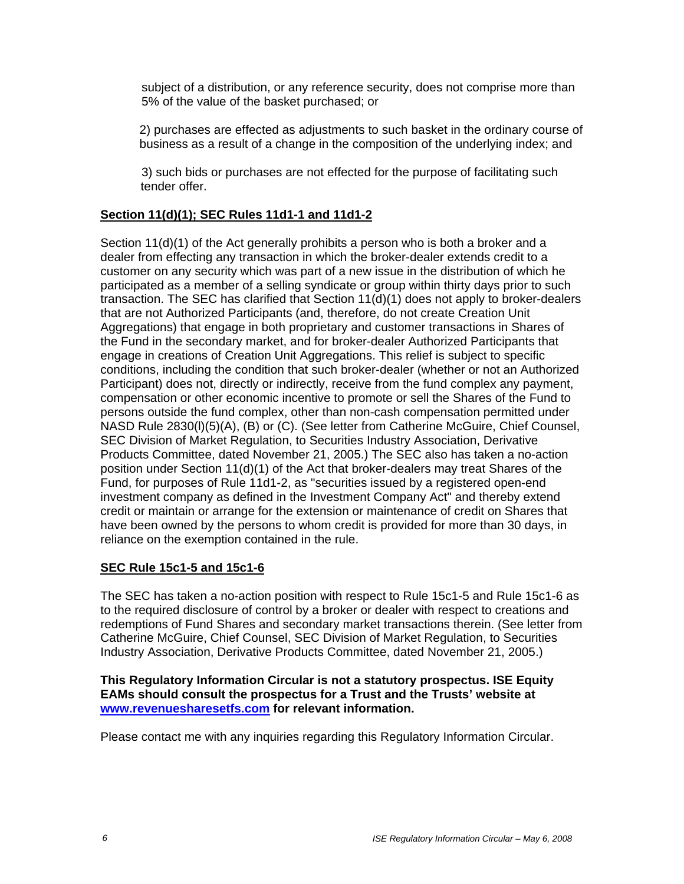subject of a distribution, or any reference security, does not comprise more than 5% of the value of the basket purchased; or

2) purchases are effected as adjustments to such basket in the ordinary course of business as a result of a change in the composition of the underlying index; and

3) such bids or purchases are not effected for the purpose of facilitating such tender offer.

## **Section 11(d)(1); SEC Rules 11d1-1 and 11d1-2**

Section 11(d)(1) of the Act generally prohibits a person who is both a broker and a dealer from effecting any transaction in which the broker-dealer extends credit to a customer on any security which was part of a new issue in the distribution of which he participated as a member of a selling syndicate or group within thirty days prior to such transaction. The SEC has clarified that Section 11(d)(1) does not apply to broker-dealers that are not Authorized Participants (and, therefore, do not create Creation Unit Aggregations) that engage in both proprietary and customer transactions in Shares of the Fund in the secondary market, and for broker-dealer Authorized Participants that engage in creations of Creation Unit Aggregations. This relief is subject to specific conditions, including the condition that such broker-dealer (whether or not an Authorized Participant) does not, directly or indirectly, receive from the fund complex any payment, compensation or other economic incentive to promote or sell the Shares of the Fund to persons outside the fund complex, other than non-cash compensation permitted under NASD Rule 2830(l)(5)(A), (B) or (C). (See letter from Catherine McGuire, Chief Counsel, SEC Division of Market Regulation, to Securities Industry Association, Derivative Products Committee, dated November 21, 2005.) The SEC also has taken a no-action position under Section 11(d)(1) of the Act that broker-dealers may treat Shares of the Fund, for purposes of Rule 11d1-2, as "securities issued by a registered open-end investment company as defined in the Investment Company Act" and thereby extend credit or maintain or arrange for the extension or maintenance of credit on Shares that have been owned by the persons to whom credit is provided for more than 30 days, in reliance on the exemption contained in the rule.

### **SEC Rule 15c1-5 and 15c1-6**

The SEC has taken a no-action position with respect to Rule 15c1-5 and Rule 15c1-6 as to the required disclosure of control by a broker or dealer with respect to creations and redemptions of Fund Shares and secondary market transactions therein. (See letter from Catherine McGuire, Chief Counsel, SEC Division of Market Regulation, to Securities Industry Association, Derivative Products Committee, dated November 21, 2005.)

#### **This Regulatory Information Circular is not a statutory prospectus. ISE Equity EAMs should consult the prospectus for a Trust and the Trusts' website at www.revenuesharesetfs.com for relevant information.**

Please contact me with any inquiries regarding this Regulatory Information Circular.